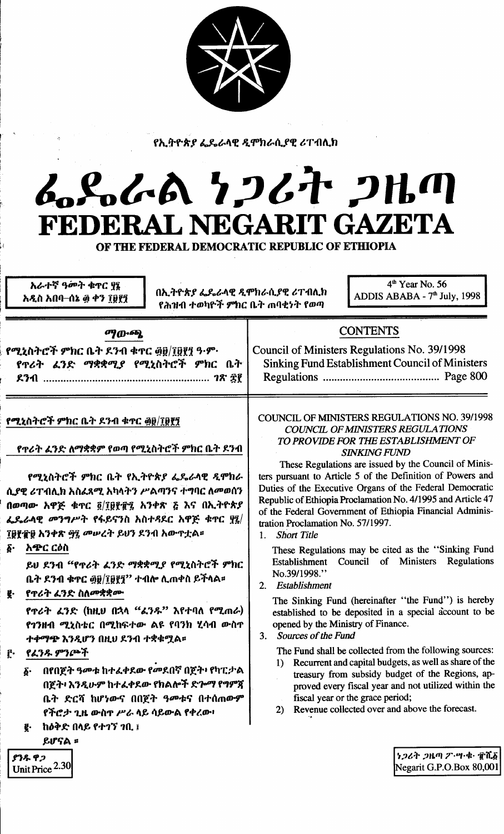

የኢትዮጵያ ፌዴራላዊ ዲሞክራሲያዊ ሪፐብሊክ

## んとんめ りつびれ つりの FEDERAL NEGARIT GAZETA

OF THE FEDERAL DEMOCRATIC REPUBLIC OF ETHIOPIA

አራተኛ ዓመት ቁዋር ያ፤ አዲስ አበባ–ሰኔ ፴ ቀን ፲፱፻፺

በኢትዮጵያ ፌዴራላዊ ዲሞክራሲያዊ ሪፐብሊክ የሕዝብ ተወካዮች ምክር ቤት ጠባቂነት የወጣ

 $4<sup>th</sup>$  Year No. 56 ADDIS ABABA - 7<sup>th</sup> July, 1998

| ማውጫ                                                                                                                                                                                                                                                                                                                                                                                                                                                                                                                                                                                                                                                                                                                               | <b>CONTENTS</b>                                                                                                                                                                                                                                                                                                                                                                                                                                                                                                                                                                                                                                                                                                                                                                                                                                                                                                                                                                                                                                                                                                                                                                                                                                                   |
|-----------------------------------------------------------------------------------------------------------------------------------------------------------------------------------------------------------------------------------------------------------------------------------------------------------------------------------------------------------------------------------------------------------------------------------------------------------------------------------------------------------------------------------------------------------------------------------------------------------------------------------------------------------------------------------------------------------------------------------|-------------------------------------------------------------------------------------------------------------------------------------------------------------------------------------------------------------------------------------------------------------------------------------------------------------------------------------------------------------------------------------------------------------------------------------------------------------------------------------------------------------------------------------------------------------------------------------------------------------------------------------------------------------------------------------------------------------------------------------------------------------------------------------------------------------------------------------------------------------------------------------------------------------------------------------------------------------------------------------------------------------------------------------------------------------------------------------------------------------------------------------------------------------------------------------------------------------------------------------------------------------------|
| የሚኒስትሮች ምክር ቤት ደንብ ቁተር ፴፱/፲፱፻፺ ዓ·ም·<br>የጥሪት ፈንድ ማቋቋሚያ የሚኒስትሮች ምክር ቤት                                                                                                                                                                                                                                                                                                                                                                                                                                                                                                                                                                                                                                                              | Council of Ministers Regulations No. 39/1998<br><b>Sinking Fund Establishment Council of Ministers</b>                                                                                                                                                                                                                                                                                                                                                                                                                                                                                                                                                                                                                                                                                                                                                                                                                                                                                                                                                                                                                                                                                                                                                            |
| የሚኒስትሮች ምክር ቤት ደንብ ቁኖር ፴፱/፲፱፻፺<br>የዋሪት ፈንድ ለማቋቋም የወጣ የሚኒስትሮች ምክር ቤት ደንብ<br>የሚኒስትሮች ምክር ቤት የኢትዮጵያ ፌዴራላዊ ዲሞክራ<br>ሲያዊ ሪፐብሊክ አስፈጻሚ አካላትን ሥልጣንና ተግባር ለመወሰን<br>በወጣው አዋጅ ቁዋር ፬/፲፱፻፹፯ አንቀጽ ፭ እና በኢትዮጵያ<br>ፌዴራላዊ መንግሥት የፋይናንስ አስተዳደር አዋጅ ቁዋር ፶፯/<br>፲፱፻፹፱ አንቀጽ ፵፯ መሥረት ይህን ደንብ አውዋቷል፡፡<br>አጭር ርዕስ<br>ĝ٠<br>ይህ ደንብ "የጥሪት ፈንድ ማቋቋሚያ የሚኒስትሮች ምክር<br>ቤት ደንብ ቁተር ፴፱/፲፱፻፺'' ተብሎ ሲጠቀስ ይችላል።<br>የዋሪት ፈንድ ስለመቋቋሙ<br>g.<br>የጥሪት ፈንድ (ከዚህ በኋላ "ፈንዱ" እየተባለ የሚጠራ)<br>የገንዘብ ሚኒስቴር በሚከፍተው ልዩ የባንክ ሂሳብ ውስጥ<br>ተቀማጭ እንዲሆን በዚህ ደንብ ተቋቁሟል።<br>የፈንዱ ምንጮች<br>ŗ٠<br>በየበጀት ዓመቱ ከተፈቀደው የመደበኛ በጀት፥ የካፒታል<br>δ.<br>በጀት፡ እንዲሁም ከተፈቀደው የክልሎች ድሎማ የግምጀ<br>ቤት ድርሻ ከሆነውና በበጀት ዓመቱና በተሰጠውም<br>የችሮታ ጊዜ ውስዋ ሥራ ላይ ሳይውል የቀረው፥<br>ከዕቅድ በላይ የተገኘ ገቢ ፤<br>ę.<br>ይሆናል ፡<br>ያንዱ ዋጋ | <b>COUNCIL OF MINISTERS REGULATIONS NO. 39/1998</b><br><b>COUNCIL OF MINISTERS REGULATIONS</b><br>TO PROVIDE FOR THE ESTABLISHMENT OF<br><b>SINKING FUND</b><br>These Regulations are issued by the Council of Minis-<br>ters pursuant to Article 5 of the Definition of Powers and<br>Duties of the Executive Organs of the Federal Democratic<br>Republic of Ethiopia Proclamation No. 4/1995 and Article 47<br>of the Federal Government of Ethiopia Financial Adminis-<br>tration Proclamation No. 57/1997.<br><b>Short Title</b><br>$1_{\cdot}$<br>These Regulations may be cited as the "Sinking Fund<br>Establishment Council of Ministers Regulations<br>No.39/1998."<br>Establishment<br>2 <sub>1</sub><br>The Sinking Fund (hereinafter "the Fund") is hereby<br>established to be deposited in a special account to be<br>opened by the Ministry of Finance.<br>3. Sources of the Fund<br>The Fund shall be collected from the following sources:<br>Recurrent and capital budgets, as well as share of the<br>$\bf{1}$<br>treasury from subsidy budget of the Regions, ap-<br>proved every fiscal year and not utilized within the<br>fiscal year or the grace period;<br>Revenue collected over and above the forecast.<br>2)<br>ነጋሪት ጋዜጣ ፖ・ሣ・ቁ・ ፹ሺ፩ |
| Unit Price $2.30$                                                                                                                                                                                                                                                                                                                                                                                                                                                                                                                                                                                                                                                                                                                 | Negarit G.P.O.Box 80,001                                                                                                                                                                                                                                                                                                                                                                                                                                                                                                                                                                                                                                                                                                                                                                                                                                                                                                                                                                                                                                                                                                                                                                                                                                          |